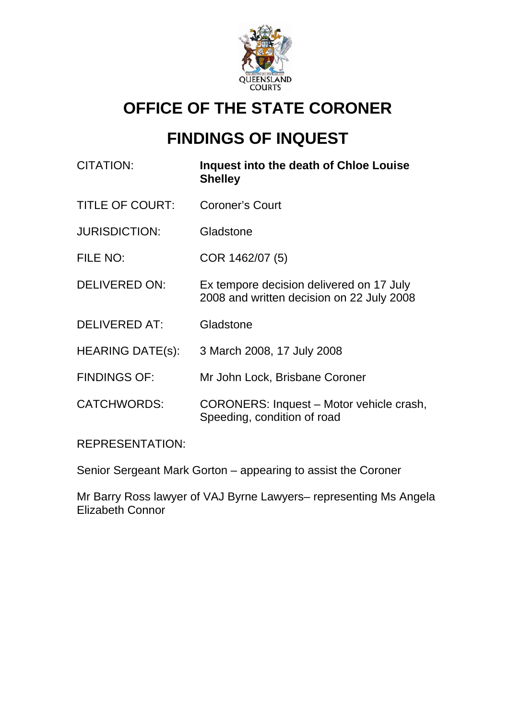

# **OFFICE OF THE STATE CORONER**

# **FINDINGS OF INQUEST**

| CITATION:               | Inquest into the death of Chloe Louise<br><b>Shelley</b>                              |
|-------------------------|---------------------------------------------------------------------------------------|
| <b>TITLE OF COURT:</b>  | <b>Coroner's Court</b>                                                                |
| <b>JURISDICTION:</b>    | Gladstone                                                                             |
| FILE NO:                | COR 1462/07 (5)                                                                       |
| <b>DELIVERED ON:</b>    | Ex tempore decision delivered on 17 July<br>2008 and written decision on 22 July 2008 |
| <b>DELIVERED AT:</b>    | Gladstone                                                                             |
| <b>HEARING DATE(s):</b> | 3 March 2008, 17 July 2008                                                            |
| <b>FINDINGS OF:</b>     | Mr John Lock, Brisbane Coroner                                                        |
| <b>CATCHWORDS:</b>      | CORONERS: Inquest – Motor vehicle crash,<br>Speeding, condition of road               |
|                         |                                                                                       |

REPRESENTATION:

Senior Sergeant Mark Gorton – appearing to assist the Coroner

Mr Barry Ross lawyer of VAJ Byrne Lawyers– representing Ms Angela Elizabeth Connor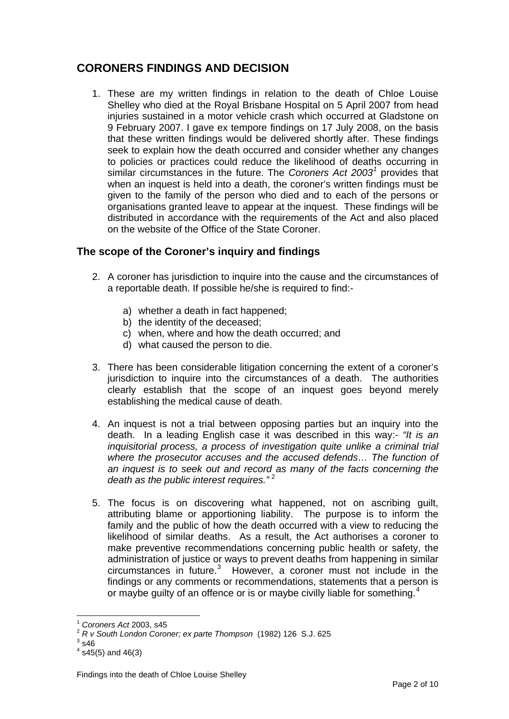## **CORONERS FINDINGS AND DECISION**

1. These are my written findings in relation to the death of Chloe Louise Shelley who died at the Royal Brisbane Hospital on 5 April 2007 from head injuries sustained in a motor vehicle crash which occurred at Gladstone on 9 February 2007. I gave ex tempore findings on 17 July 2008, on the basis that these written findings would be delivered shortly after. These findings seek to explain how the death occurred and consider whether any changes to policies or practices could reduce the likelihood of deaths occurring in similar circumstances in the future. The *Coroners Act 2003<sup>[1](#page-1-0)</sup>* provides that when an inquest is held into a death, the coroner's written findings must be given to the family of the person who died and to each of the persons or organisations granted leave to appear at the inquest. These findings will be distributed in accordance with the requirements of the Act and also placed on the website of the Office of the State Coroner.

### **The scope of the Coroner's inquiry and findings**

- 2. A coroner has jurisdiction to inquire into the cause and the circumstances of a reportable death. If possible he/she is required to find:
	- a) whether a death in fact happened;
	- b) the identity of the deceased;
	- c) when, where and how the death occurred; and
	- d) what caused the person to die.
- 3. There has been considerable litigation concerning the extent of a coroner's jurisdiction to inquire into the circumstances of a death. The authorities clearly establish that the scope of an inquest goes beyond merely establishing the medical cause of death.
- 4. An inquest is not a trial between opposing parties but an inquiry into the death. In a leading English case it was described in this way:- *"It is an inquisitorial process, a process of investigation quite unlike a criminal trial where the prosecutor accuses and the accused defends… The function of an inquest is to seek out and record as many of the facts concerning the death as the public interest requires.*"<sup>[2](#page-1-1)</sup>
- 5. The focus is on discovering what happened, not on ascribing guilt, attributing blame or apportioning liability. The purpose is to inform the family and the public of how the death occurred with a view to reducing the likelihood of similar deaths. As a result, the Act authorises a coroner to make preventive recommendations concerning public health or safety, the administration of justice or ways to prevent deaths from happening in similar circumstances in future.[3](#page-1-2) However, a coroner must not include in the findings or any comments or recommendations, statements that a person is or maybe guilty of an offence or is or maybe civilly liable for something.<sup>[4](#page-1-3)</sup>

<span id="page-1-0"></span><sup>&</sup>lt;sup>1</sup> Coroners Act 2003, s45<br><sup>2</sup> R v South London Coroner; ex parte Thompson (1982) 126 S.J. 625

<span id="page-1-3"></span><span id="page-1-2"></span><span id="page-1-1"></span> $3$  s46

 $4$  s45(5) and 46(3)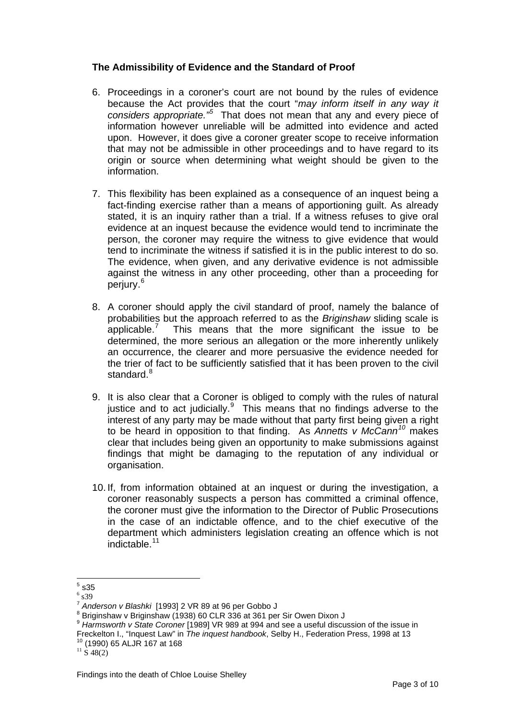#### **The Admissibility of Evidence and the Standard of Proof**

- 6. Proceedings in a coroner's court are not bound by the rules of evidence because the Act provides that the court "*may inform itself in any way it considers appropriate."[5](#page-2-0)* That does not mean that any and every piece of information however unreliable will be admitted into evidence and acted upon. However, it does give a coroner greater scope to receive information that may not be admissible in other proceedings and to have regard to its origin or source when determining what weight should be given to the information.
- 7. This flexibility has been explained as a consequence of an inquest being a fact-finding exercise rather than a means of apportioning guilt. As already stated, it is an inquiry rather than a trial. If a witness refuses to give oral evidence at an inquest because the evidence would tend to incriminate the person, the coroner may require the witness to give evidence that would tend to incriminate the witness if satisfied it is in the public interest to do so. The evidence, when given, and any derivative evidence is not admissible against the witness in any other proceeding, other than a proceeding for perjury.<sup>[6](#page-2-1)</sup>
- 8. A coroner should apply the civil standard of proof, namely the balance of probabilities but the approach referred to as the *Briginshaw* sliding scale is applicable.<sup>[7](#page-2-2)</sup> This means that the more significant the issue to be determined, the more serious an allegation or the more inherently unlikely an occurrence, the clearer and more persuasive the evidence needed for the trier of fact to be sufficiently satisfied that it has been proven to the civil standard.<sup>[8](#page-2-3)</sup>
- 9. It is also clear that a Coroner is obliged to comply with the rules of natural justice and to act judicially. $9$  This means that no findings adverse to the interest of any party may be made without that party first being given a right to be heard in opposition to that finding. As *Annetts v McCann[10](#page-2-5)* makes clear that includes being given an opportunity to make submissions against findings that might be damaging to the reputation of any individual or organisation.
- 10. If, from information obtained at an inquest or during the investigation, a coroner reasonably suspects a person has committed a criminal offence, the coroner must give the information to the Director of Public Prosecutions in the case of an indictable offence, and to the chief executive of the department which administers legislation creating an offence which is not indictable.[11](#page-2-6)

 $\frac{1}{5}$  s35

<span id="page-2-0"></span> $<sup>6</sup>$  s39</sup>

<span id="page-2-1"></span><sup>7</sup> *Anderson v Blashki* [1993] 2 VR 89 at 96 per Gobbo J 8

<span id="page-2-2"></span><sup>&</sup>lt;sup>8</sup> Briginshaw v Briginshaw (1938) 60 CLR 336 at 361 per Sir Owen Dixon J

<span id="page-2-4"></span><span id="page-2-3"></span><sup>&</sup>lt;sup>9</sup> Harmsworth v State Coroner [1989] VR 989 at 994 and see a useful discussion of the issue in Freckelton I., "Inquest Law" in *The inquest handbook*, Selby H., Federation Press, 1998 at 13<br><sup>10</sup> (1990) 65 ALJR 167 at 168<br><sup>11</sup> S 48(2)

<span id="page-2-6"></span><span id="page-2-5"></span>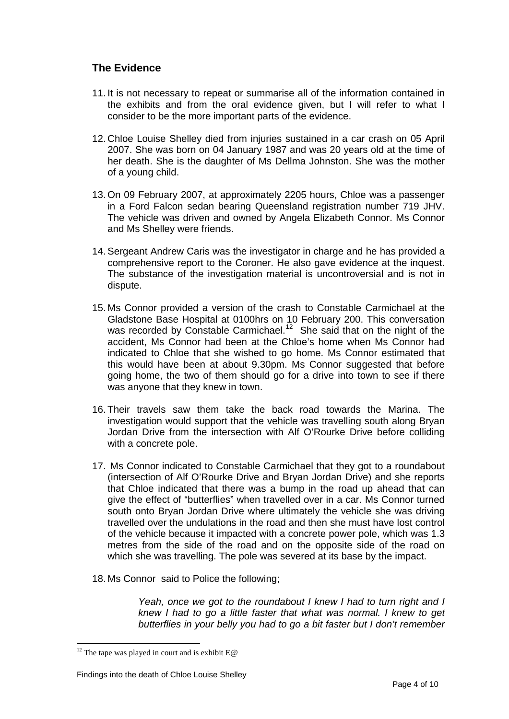### **The Evidence**

- 11. It is not necessary to repeat or summarise all of the information contained in the exhibits and from the oral evidence given, but I will refer to what I consider to be the more important parts of the evidence.
- 12. Chloe Louise Shelley died from injuries sustained in a car crash on 05 April 2007. She was born on 04 January 1987 and was 20 years old at the time of her death. She is the daughter of Ms Dellma Johnston. She was the mother of a young child.
- 13. On 09 February 2007, at approximately 2205 hours, Chloe was a passenger in a Ford Falcon sedan bearing Queensland registration number 719 JHV. The vehicle was driven and owned by Angela Elizabeth Connor. Ms Connor and Ms Shelley were friends.
- 14. Sergeant Andrew Caris was the investigator in charge and he has provided a comprehensive report to the Coroner. He also gave evidence at the inquest. The substance of the investigation material is uncontroversial and is not in dispute.
- 15. Ms Connor provided a version of the crash to Constable Carmichael at the Gladstone Base Hospital at 0100hrs on 10 February 200. This conversation was recorded by Constable Carmichael.<sup>12</sup> She said that on the night of the accident, Ms Connor had been at the Chloe's home when Ms Connor had indicated to Chloe that she wished to go home. Ms Connor estimated that this would have been at about 9.30pm. Ms Connor suggested that before going home, the two of them should go for a drive into town to see if there was anyone that they knew in town.
- 16. Their travels saw them take the back road towards the Marina. The investigation would support that the vehicle was travelling south along Bryan Jordan Drive from the intersection with Alf O'Rourke Drive before colliding with a concrete pole.
- 17. Ms Connor indicated to Constable Carmichael that they got to a roundabout (intersection of Alf O'Rourke Drive and Bryan Jordan Drive) and she reports that Chloe indicated that there was a bump in the road up ahead that can give the effect of "butterflies" when travelled over in a car. Ms Connor turned south onto Bryan Jordan Drive where ultimately the vehicle she was driving travelled over the undulations in the road and then she must have lost control of the vehicle because it impacted with a concrete power pole, which was 1.3 metres from the side of the road and on the opposite side of the road on which she was travelling. The pole was severed at its base by the impact.
- 18. Ms Connor said to Police the following;

*Yeah, once we got to the roundabout I knew I had to turn right and I knew I had to go a little faster that what was normal. I knew to get butterflies in your belly you had to go a bit faster but I don't remember* 

<span id="page-3-0"></span><sup>&</sup>lt;sup>12</sup> The tape was played in court and is exhibit  $E@$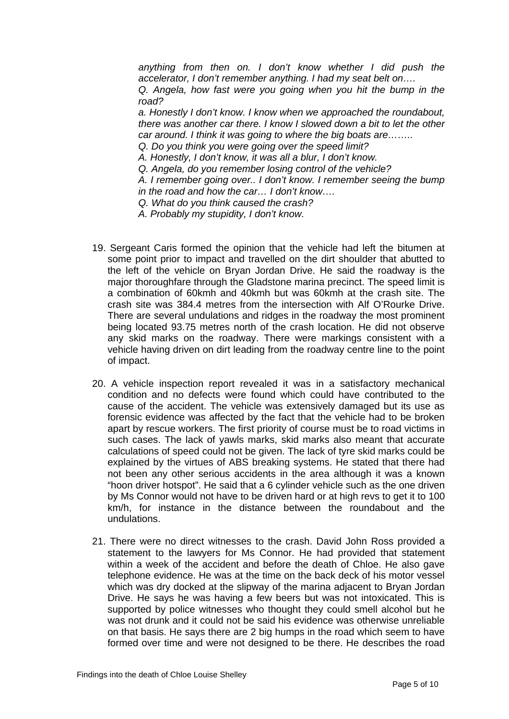*anything from then on. I don't know whether I did push the accelerator, I don't remember anything. I had my seat belt on….* 

*Q. Angela, how fast were you going when you hit the bump in the road?* 

*a. Honestly I don't know. I know when we approached the roundabout, there was another car there. I know I slowed down a bit to let the other car around. I think it was going to where the big boats are……..* 

*Q. Do you think you were going over the speed limit?* 

*A. Honestly, I don't know, it was all a blur, I don't know.* 

*Q. Angela, do you remember losing control of the vehicle?* 

*A. I remember going over.. I don't know. I remember seeing the bump in the road and how the car… I don't know….* 

*Q. What do you think caused the crash?* 

*A. Probably my stupidity, I don't know.* 

- 19. Sergeant Caris formed the opinion that the vehicle had left the bitumen at some point prior to impact and travelled on the dirt shoulder that abutted to the left of the vehicle on Bryan Jordan Drive. He said the roadway is the major thoroughfare through the Gladstone marina precinct. The speed limit is a combination of 60kmh and 40kmh but was 60kmh at the crash site. The crash site was 384.4 metres from the intersection with Alf O'Rourke Drive. There are several undulations and ridges in the roadway the most prominent being located 93.75 metres north of the crash location. He did not observe any skid marks on the roadway. There were markings consistent with a vehicle having driven on dirt leading from the roadway centre line to the point of impact.
- 20. A vehicle inspection report revealed it was in a satisfactory mechanical condition and no defects were found which could have contributed to the cause of the accident. The vehicle was extensively damaged but its use as forensic evidence was affected by the fact that the vehicle had to be broken apart by rescue workers. The first priority of course must be to road victims in such cases. The lack of yawls marks, skid marks also meant that accurate calculations of speed could not be given. The lack of tyre skid marks could be explained by the virtues of ABS breaking systems. He stated that there had not been any other serious accidents in the area although it was a known "hoon driver hotspot". He said that a 6 cylinder vehicle such as the one driven by Ms Connor would not have to be driven hard or at high revs to get it to 100 km/h, for instance in the distance between the roundabout and the undulations.
- 21. There were no direct witnesses to the crash. David John Ross provided a statement to the lawyers for Ms Connor. He had provided that statement within a week of the accident and before the death of Chloe. He also gave telephone evidence. He was at the time on the back deck of his motor vessel which was dry docked at the slipway of the marina adjacent to Bryan Jordan Drive. He says he was having a few beers but was not intoxicated. This is supported by police witnesses who thought they could smell alcohol but he was not drunk and it could not be said his evidence was otherwise unreliable on that basis. He says there are 2 big humps in the road which seem to have formed over time and were not designed to be there. He describes the road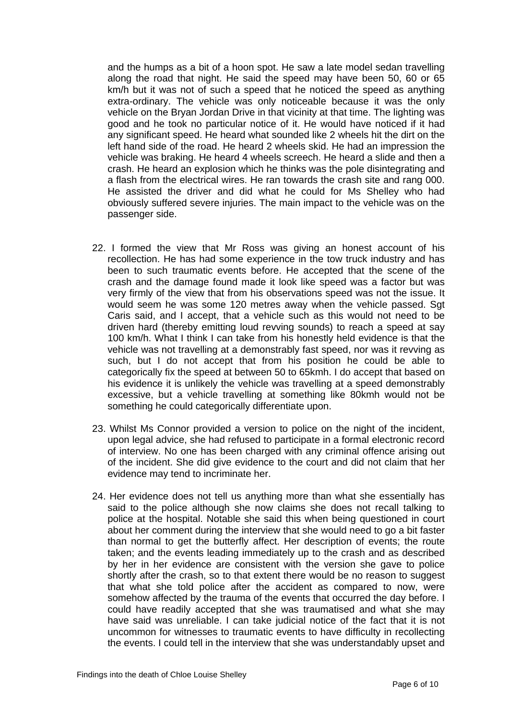and the humps as a bit of a hoon spot. He saw a late model sedan travelling along the road that night. He said the speed may have been 50, 60 or 65 km/h but it was not of such a speed that he noticed the speed as anything extra-ordinary. The vehicle was only noticeable because it was the only vehicle on the Bryan Jordan Drive in that vicinity at that time. The lighting was good and he took no particular notice of it. He would have noticed if it had any significant speed. He heard what sounded like 2 wheels hit the dirt on the left hand side of the road. He heard 2 wheels skid. He had an impression the vehicle was braking. He heard 4 wheels screech. He heard a slide and then a crash. He heard an explosion which he thinks was the pole disintegrating and a flash from the electrical wires. He ran towards the crash site and rang 000. He assisted the driver and did what he could for Ms Shelley who had obviously suffered severe injuries. The main impact to the vehicle was on the passenger side.

- 22. I formed the view that Mr Ross was giving an honest account of his recollection. He has had some experience in the tow truck industry and has been to such traumatic events before. He accepted that the scene of the crash and the damage found made it look like speed was a factor but was very firmly of the view that from his observations speed was not the issue. It would seem he was some 120 metres away when the vehicle passed. Sgt Caris said, and I accept, that a vehicle such as this would not need to be driven hard (thereby emitting loud revving sounds) to reach a speed at say 100 km/h. What I think I can take from his honestly held evidence is that the vehicle was not travelling at a demonstrably fast speed, nor was it revving as such, but I do not accept that from his position he could be able to categorically fix the speed at between 50 to 65kmh. I do accept that based on his evidence it is unlikely the vehicle was travelling at a speed demonstrably excessive, but a vehicle travelling at something like 80kmh would not be something he could categorically differentiate upon.
- 23. Whilst Ms Connor provided a version to police on the night of the incident, upon legal advice, she had refused to participate in a formal electronic record of interview. No one has been charged with any criminal offence arising out of the incident. She did give evidence to the court and did not claim that her evidence may tend to incriminate her.
- 24. Her evidence does not tell us anything more than what she essentially has said to the police although she now claims she does not recall talking to police at the hospital. Notable she said this when being questioned in court about her comment during the interview that she would need to go a bit faster than normal to get the butterfly affect. Her description of events; the route taken; and the events leading immediately up to the crash and as described by her in her evidence are consistent with the version she gave to police shortly after the crash, so to that extent there would be no reason to suggest that what she told police after the accident as compared to now, were somehow affected by the trauma of the events that occurred the day before. I could have readily accepted that she was traumatised and what she may have said was unreliable. I can take judicial notice of the fact that it is not uncommon for witnesses to traumatic events to have difficulty in recollecting the events. I could tell in the interview that she was understandably upset and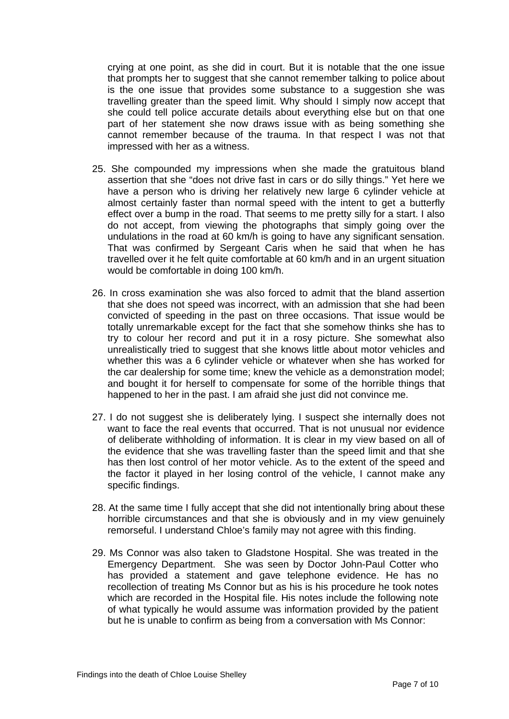crying at one point, as she did in court. But it is notable that the one issue that prompts her to suggest that she cannot remember talking to police about is the one issue that provides some substance to a suggestion she was travelling greater than the speed limit. Why should I simply now accept that she could tell police accurate details about everything else but on that one part of her statement she now draws issue with as being something she cannot remember because of the trauma. In that respect I was not that impressed with her as a witness.

- 25. She compounded my impressions when she made the gratuitous bland assertion that she "does not drive fast in cars or do silly things." Yet here we have a person who is driving her relatively new large 6 cylinder vehicle at almost certainly faster than normal speed with the intent to get a butterfly effect over a bump in the road. That seems to me pretty silly for a start. I also do not accept, from viewing the photographs that simply going over the undulations in the road at 60 km/h is going to have any significant sensation. That was confirmed by Sergeant Caris when he said that when he has travelled over it he felt quite comfortable at 60 km/h and in an urgent situation would be comfortable in doing 100 km/h.
- 26. In cross examination she was also forced to admit that the bland assertion that she does not speed was incorrect, with an admission that she had been convicted of speeding in the past on three occasions. That issue would be totally unremarkable except for the fact that she somehow thinks she has to try to colour her record and put it in a rosy picture. She somewhat also unrealistically tried to suggest that she knows little about motor vehicles and whether this was a 6 cylinder vehicle or whatever when she has worked for the car dealership for some time; knew the vehicle as a demonstration model; and bought it for herself to compensate for some of the horrible things that happened to her in the past. I am afraid she just did not convince me.
- 27. I do not suggest she is deliberately lying. I suspect she internally does not want to face the real events that occurred. That is not unusual nor evidence of deliberate withholding of information. It is clear in my view based on all of the evidence that she was travelling faster than the speed limit and that she has then lost control of her motor vehicle. As to the extent of the speed and the factor it played in her losing control of the vehicle, I cannot make any specific findings.
- 28. At the same time I fully accept that she did not intentionally bring about these horrible circumstances and that she is obviously and in my view genuinely remorseful. I understand Chloe's family may not agree with this finding.
- 29. Ms Connor was also taken to Gladstone Hospital. She was treated in the Emergency Department. She was seen by Doctor John-Paul Cotter who has provided a statement and gave telephone evidence. He has no recollection of treating Ms Connor but as his is his procedure he took notes which are recorded in the Hospital file. His notes include the following note of what typically he would assume was information provided by the patient but he is unable to confirm as being from a conversation with Ms Connor: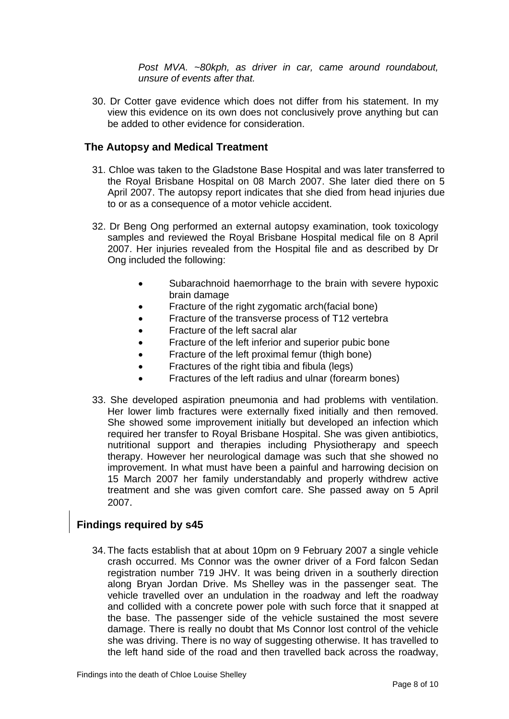*Post MVA. ~80kph, as driver in car, came around roundabout, unsure of events after that.* 

30. Dr Cotter gave evidence which does not differ from his statement. In my view this evidence on its own does not conclusively prove anything but can be added to other evidence for consideration.

#### **The Autopsy and Medical Treatment**

- 31. Chloe was taken to the Gladstone Base Hospital and was later transferred to the Royal Brisbane Hospital on 08 March 2007. She later died there on 5 April 2007. The autopsy report indicates that she died from head injuries due to or as a consequence of a motor vehicle accident.
- 32. Dr Beng Ong performed an external autopsy examination, took toxicology samples and reviewed the Royal Brisbane Hospital medical file on 8 April 2007. Her injuries revealed from the Hospital file and as described by Dr Ong included the following:
	- Subarachnoid haemorrhage to the brain with severe hypoxic brain damage
	- Fracture of the right zygomatic arch(facial bone)
	- Fracture of the transverse process of T12 vertebra
	- Fracture of the left sacral alar
	- Fracture of the left inferior and superior pubic bone
	- Fracture of the left proximal femur (thigh bone)
	- Fractures of the right tibia and fibula (legs)
	- Fractures of the left radius and ulnar (forearm bones)
- 33. She developed aspiration pneumonia and had problems with ventilation. Her lower limb fractures were externally fixed initially and then removed. She showed some improvement initially but developed an infection which required her transfer to Royal Brisbane Hospital. She was given antibiotics, nutritional support and therapies including Physiotherapy and speech therapy. However her neurological damage was such that she showed no improvement. In what must have been a painful and harrowing decision on 15 March 2007 her family understandably and properly withdrew active treatment and she was given comfort care. She passed away on 5 April 2007.

#### **Findings required by s45**

34. The facts establish that at about 10pm on 9 February 2007 a single vehicle crash occurred. Ms Connor was the owner driver of a Ford falcon Sedan registration number 719 JHV. It was being driven in a southerly direction along Bryan Jordan Drive. Ms Shelley was in the passenger seat. The vehicle travelled over an undulation in the roadway and left the roadway and collided with a concrete power pole with such force that it snapped at the base. The passenger side of the vehicle sustained the most severe damage. There is really no doubt that Ms Connor lost control of the vehicle she was driving. There is no way of suggesting otherwise. It has travelled to the left hand side of the road and then travelled back across the roadway,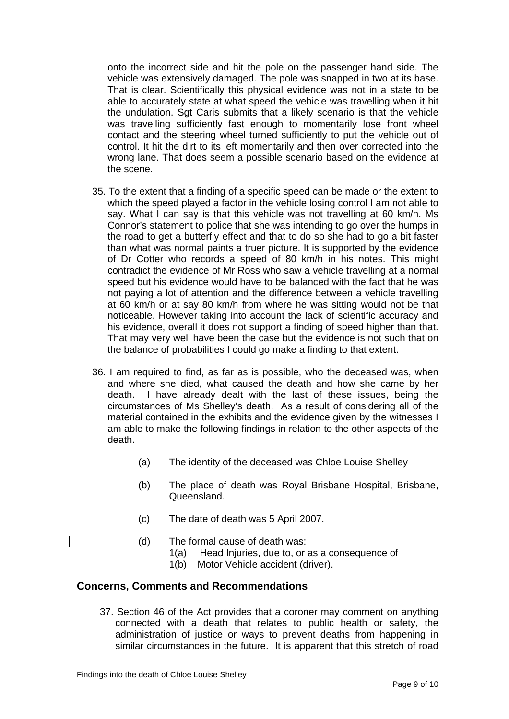onto the incorrect side and hit the pole on the passenger hand side. The vehicle was extensively damaged. The pole was snapped in two at its base. That is clear. Scientifically this physical evidence was not in a state to be able to accurately state at what speed the vehicle was travelling when it hit the undulation. Sgt Caris submits that a likely scenario is that the vehicle was travelling sufficiently fast enough to momentarily lose front wheel contact and the steering wheel turned sufficiently to put the vehicle out of control. It hit the dirt to its left momentarily and then over corrected into the wrong lane. That does seem a possible scenario based on the evidence at the scene.

- 35. To the extent that a finding of a specific speed can be made or the extent to which the speed played a factor in the vehicle losing control I am not able to say. What I can say is that this vehicle was not travelling at 60 km/h. Ms Connor's statement to police that she was intending to go over the humps in the road to get a butterfly effect and that to do so she had to go a bit faster than what was normal paints a truer picture. It is supported by the evidence of Dr Cotter who records a speed of 80 km/h in his notes. This might contradict the evidence of Mr Ross who saw a vehicle travelling at a normal speed but his evidence would have to be balanced with the fact that he was not paying a lot of attention and the difference between a vehicle travelling at 60 km/h or at say 80 km/h from where he was sitting would not be that noticeable. However taking into account the lack of scientific accuracy and his evidence, overall it does not support a finding of speed higher than that. That may very well have been the case but the evidence is not such that on the balance of probabilities I could go make a finding to that extent.
- 36. I am required to find, as far as is possible, who the deceased was, when and where she died, what caused the death and how she came by her death. I have already dealt with the last of these issues, being the circumstances of Ms Shelley's death. As a result of considering all of the material contained in the exhibits and the evidence given by the witnesses I am able to make the following findings in relation to the other aspects of the death.
	- (a) The identity of the deceased was Chloe Louise Shelley
	- (b) The place of death was Royal Brisbane Hospital, Brisbane, Queensland.
	- (c) The date of death was 5 April 2007.
	- (d) The formal cause of death was:
		- 1(a) Head Injuries, due to, or as a consequence of
		- 1(b) Motor Vehicle accident (driver).

#### **Concerns, Comments and Recommendations**

37. Section 46 of the Act provides that a coroner may comment on anything connected with a death that relates to public health or safety, the administration of justice or ways to prevent deaths from happening in similar circumstances in the future. It is apparent that this stretch of road